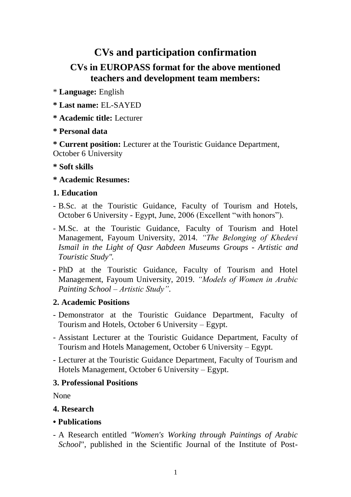# **CVs and participation confirmation**

## **CVs in EUROPASS format for the above mentioned teachers and development team members:**

\* **Language:** English

- **\* Last name:** EL-SAYED
- **\* Academic title:** Lecturer

### **\* Personal data**

**\* Current position:** Lecturer at the Touristic Guidance Department, October 6 University

#### **\* Soft skills**

### **\* Academic Resumes:**

### **1. Education**

- B.Sc. at the Touristic Guidance, Faculty of Tourism and Hotels, October 6 University - Egypt, June, 2006 (Excellent "with honors").
- M.Sc. at the Touristic Guidance, Faculty of Tourism and Hotel Management, Fayoum University, 2014. *"The Belonging of Khedevi Ismail in the Light of Qasr Aabdeen Museums Groups - Artistic and Touristic Study".*
- PhD at the Touristic Guidance, Faculty of Tourism and Hotel Management, Fayoum University, 2019. *"Models of Women in Arabic Painting School – Artistic Study"*.

#### **2. Academic Positions**

- Demonstrator at the Touristic Guidance Department, Faculty of Tourism and Hotels, October 6 University – Egypt.
- Assistant Lecturer at the Touristic Guidance Department, Faculty of Tourism and Hotels Management, October 6 University – Egypt.
- Lecturer at the Touristic Guidance Department, Faculty of Tourism and Hotels Management, October 6 University – Egypt.

## **3. Professional Positions**

None

## **4. Research**

#### **• Publications**

- A Research entitled *"Women's Working through Paintings of Arabic School*", published in the Scientific Journal of the Institute of Post-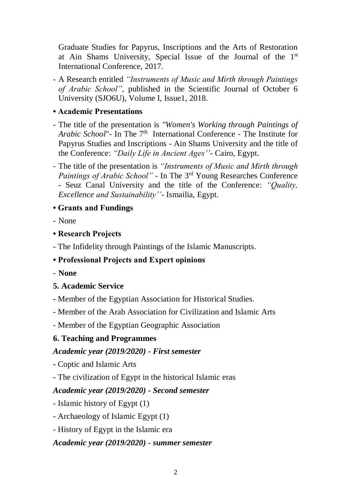Graduate Studies for Papyrus, Inscriptions and the Arts of Restoration at Ain Shams University, Special Issue of the Journal of the 1st International Conference, 2017.

- A Research entitled *"Instruments of Music and Mirth through Paintings of Arabic School",* published in the Scientific Journal of October 6 University (SJO6U), Volume I, Issue1, 2018.

#### **• Academic Presentations**

- The title of the presentation is *"Women's Working through Paintings of*  Arabic School" - In The 7<sup>th</sup> International Conference - The Institute for Papyrus Studies and Inscriptions - Ain Shams University and the title of the Conference: *"Daily Life in Ancient Ages''-* Cairo, Egypt.
- The title of the presentation is *"Instruments of Music and Mirth through Paintings of Arabic School"* - In The 3rd Young Researches Conference - Seuz Canal University and the title of the Conference: *"Quality, Excellence and Sustainability''-* Ismailia, Egypt.

### **• Grants and Fundings**

- None

### **• Research Projects**

- The Infidelity through Paintings of the Islamic Manuscripts.

## **• Professional Projects and Expert opinions**

- **None**

## **5. Academic Service**

- **-** Member of the Egyptian Association for Historical Studies.
- Member of the Arab Association for Civilization and Islamic Arts
- Member of the Egyptian Geographic Association

## **6. Teaching and Programmes**

## *Academic year (2019/2020) - First semester*

- **-** Coptic and Islamic Arts
- **-** The civilization of Egypt in the historical Islamic eras

## *Academic year (2019/2020) - Second semester*

- Islamic history of Egypt (1)
- Archaeology of Islamic Egypt (1)
- History of Egypt in the Islamic era

#### *Academic year (2019/2020) - summer semester*